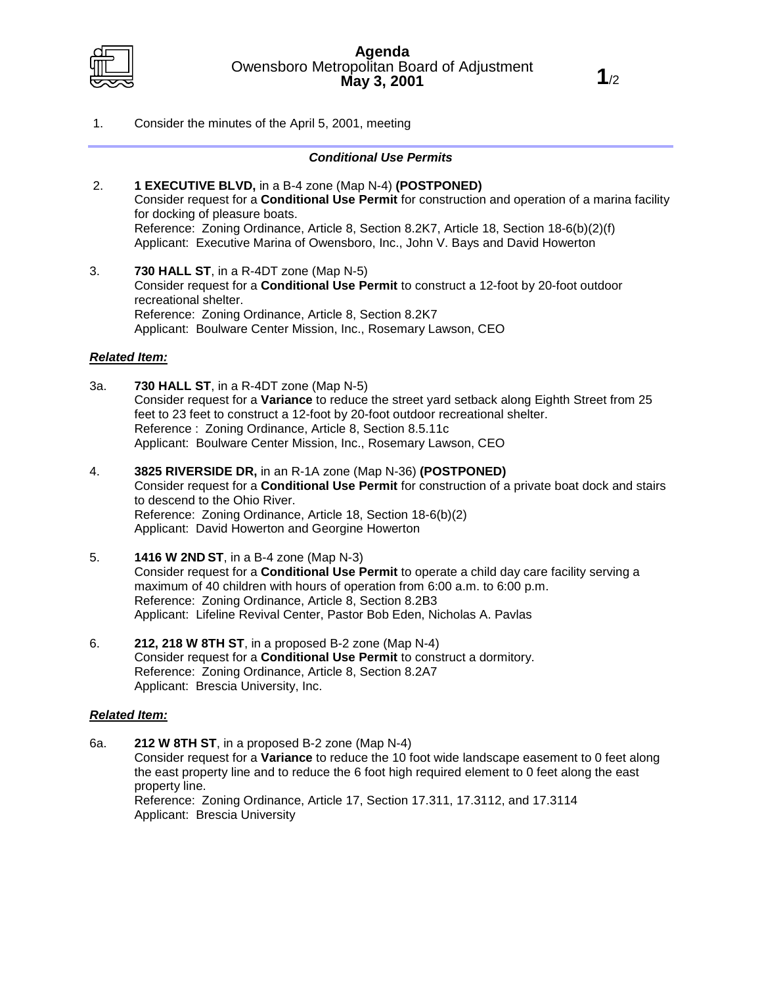

1. Consider the minutes of the April 5, 2001, meeting

## *Conditional Use Permits*

- 2. **1 EXECUTIVE BLVD,** in a B-4 zone (Map N-4) **(POSTPONED)** Consider request for a **Conditional Use Permit** for construction and operation of a marina facility for docking of pleasure boats. Reference: Zoning Ordinance, Article 8, Section 8.2K7, Article 18, Section 18-6(b)(2)(f) Applicant: Executive Marina of Owensboro, Inc., John V. Bays and David Howerton
- 3. **730 HALL ST**, in a R-4DT zone (Map N-5) Consider request for a **Conditional Use Permit** to construct a 12-foot by 20-foot outdoor recreational shelter. Reference: Zoning Ordinance, Article 8, Section 8.2K7 Applicant: Boulware Center Mission, Inc., Rosemary Lawson, CEO

## *Related Item:*

- 3a. **730 HALL ST**, in a R-4DT zone (Map N-5) Consider request for a **Variance** to reduce the street yard setback along Eighth Street from 25 feet to 23 feet to construct a 12-foot by 20-foot outdoor recreational shelter. Reference : Zoning Ordinance, Article 8, Section 8.5.11c Applicant: Boulware Center Mission, Inc., Rosemary Lawson, CEO
- 4. **3825 RIVERSIDE DR,** in an R-1A zone (Map N-36) **(POSTPONED)** Consider request for a **Conditional Use Permit** for construction of a private boat dock and stairs to descend to the Ohio River. Reference: Zoning Ordinance, Article 18, Section 18-6(b)(2) Applicant: David Howerton and Georgine Howerton
- 5. **1416 W 2ND ST**, in a B-4 zone (Map N-3) Consider request for a **Conditional Use Permit** to operate a child day care facility serving a maximum of 40 children with hours of operation from 6:00 a.m. to 6:00 p.m. Reference: Zoning Ordinance, Article 8, Section 8.2B3 Applicant: Lifeline Revival Center, Pastor Bob Eden, Nicholas A. Pavlas
- 6. **212, 218 W 8TH ST**, in a proposed B-2 zone (Map N-4) Consider request for a **Conditional Use Permit** to construct a dormitory. Reference: Zoning Ordinance, Article 8, Section 8.2A7 Applicant: Brescia University, Inc.

## *Related Item:*

6a. **212 W 8TH ST**, in a proposed B-2 zone (Map N-4) Consider request for a **Variance** to reduce the 10 foot wide landscape easement to 0 feet along the east property line and to reduce the 6 foot high required element to 0 feet along the east property line. Reference: Zoning Ordinance, Article 17, Section 17.311, 17.3112, and 17.3114 Applicant: Brescia University